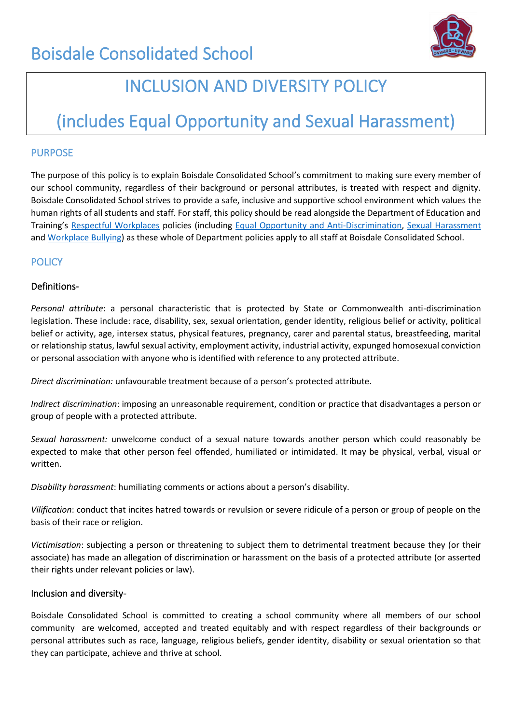

## INCLUSION AND DIVERSITY POLICY

# (includes Equal Opportunity and Sexual Harassment)

## PURPOSE

The purpose of this policy is to explain Boisdale Consolidated School's commitment to making sure every member of our school community, regardless of their background or personal attributes, is treated with respect and dignity. Boisdale Consolidated School strives to provide a safe, inclusive and supportive school environment which values the human rights of all students and staff. For staff, this policy should be read alongside the Department of Education and Training's [Respectful Workplaces](https://www.education.vic.gov.au/hrweb/divequity/Pages/respect.aspx) policies (including [Equal Opportunity and Anti-Discrimination,](https://www.education.vic.gov.au/hrweb/divequity/Pages/default_eeo.aspx) [Sexual Harassment](https://www.education.vic.gov.au/hrweb/divequity/Pages/SexualHarassment.aspx) and [Workplace Bullying\)](https://www.education.vic.gov.au/hrweb/safetyhw/Pages/workplacebullying.aspx) as these whole of Department policies apply to all staff at Boisdale Consolidated School.

## **POLICY**

## Definitions-

*Personal attribute*: a personal characteristic that is protected by State or Commonwealth anti-discrimination legislation. These include: race, disability, sex, sexual orientation, gender identity, religious belief or activity, political belief or activity, age, intersex status, physical features, pregnancy, carer and parental status, breastfeeding, marital or relationship status, lawful sexual activity, employment activity, industrial activity, expunged homosexual conviction or personal association with anyone who is identified with reference to any protected attribute.

*Direct discrimination:* unfavourable treatment because of a person's protected attribute.

*Indirect discrimination*: imposing an unreasonable requirement, condition or practice that disadvantages a person or group of people with a protected attribute.

*Sexual harassment:* unwelcome conduct of a sexual nature towards another person which could reasonably be expected to make that other person feel offended, humiliated or intimidated. It may be physical, verbal, visual or written.

*Disability harassment*: humiliating comments or actions about a person's disability.

*Vilification*: conduct that incites hatred towards or revulsion or severe ridicule of a person or group of people on the basis of their race or religion.

*Victimisation*: subjecting a person or threatening to subject them to detrimental treatment because they (or their associate) has made an allegation of discrimination or harassment on the basis of a protected attribute (or asserted their rights under relevant policies or law).

#### Inclusion and diversity-

Boisdale Consolidated School is committed to creating a school community where all members of our school community are welcomed, accepted and treated equitably and with respect regardless of their backgrounds or personal attributes such as race, language, religious beliefs, gender identity, disability or sexual orientation so that they can participate, achieve and thrive at school.